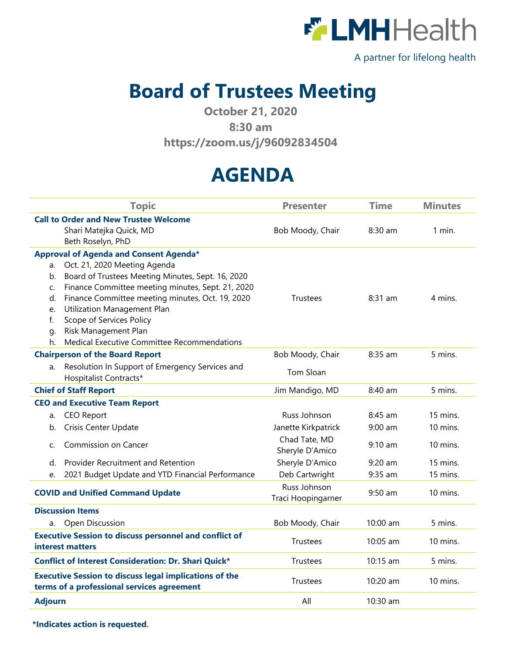

A partner for lifelong health

## **Board of Trustees Meeting**

**October 21, 2020**

## **8:30 am**

**<https://zoom.us/j/96092834504>**

## **AGENDA**

|                                                               | <b>Topic</b>                                                        | <b>Presenter</b>    | <b>Time</b> | <b>Minutes</b> |
|---------------------------------------------------------------|---------------------------------------------------------------------|---------------------|-------------|----------------|
| <b>Call to Order and New Trustee Welcome</b>                  |                                                                     |                     |             |                |
|                                                               | Shari Matejka Quick, MD                                             | Bob Moody, Chair    | 8:30 am     | 1 min.         |
|                                                               | Beth Roselyn, PhD                                                   |                     |             |                |
| Approval of Agenda and Consent Agenda*                        |                                                                     |                     |             |                |
| a.                                                            | Oct. 21, 2020 Meeting Agenda                                        |                     |             |                |
| b.                                                            | Board of Trustees Meeting Minutes, Sept. 16, 2020                   |                     |             |                |
| C.                                                            | Finance Committee meeting minutes, Sept. 21, 2020                   |                     |             |                |
| d.                                                            | Finance Committee meeting minutes, Oct. 19, 2020                    | Trustees            | $8:31$ am   | 4 mins.        |
| e.                                                            | Utilization Management Plan                                         |                     |             |                |
| $f_{\cdot}$                                                   | Scope of Services Policy                                            |                     |             |                |
| g.                                                            | Risk Management Plan<br>Medical Executive Committee Recommendations |                     |             |                |
| h.                                                            |                                                                     |                     | 8:35 am     | 5 mins.        |
|                                                               | <b>Chairperson of the Board Report</b>                              | Bob Moody, Chair    |             |                |
| а.                                                            | Resolution In Support of Emergency Services and                     | Tom Sloan           |             |                |
|                                                               | Hospitalist Contracts*                                              |                     |             |                |
| <b>Chief of Staff Report</b>                                  |                                                                     | Jim Mandigo, MD     | 8:40 am     | 5 mins.        |
|                                                               | <b>CEO and Executive Team Report</b>                                |                     |             |                |
| a.                                                            | <b>CEO Report</b>                                                   | Russ Johnson        | 8:45 am     | 15 mins.       |
| b.                                                            | Crisis Center Update                                                | Janette Kirkpatrick | $9:00$ am   | 10 mins.       |
| C.                                                            | Commission on Cancer                                                | Chad Tate, MD       | $9:10$ am   | 10 mins.       |
|                                                               |                                                                     | Sheryle D'Amico     |             |                |
| d.                                                            | Provider Recruitment and Retention                                  | Sheryle D'Amico     | $9:20$ am   | 15 mins.       |
| e.                                                            | 2021 Budget Update and YTD Financial Performance                    | Deb Cartwright      | 9:35 am     | 15 mins.       |
| <b>COVID and Unified Command Update</b>                       |                                                                     | Russ Johnson        | $9:50$ am   | 10 mins.       |
|                                                               |                                                                     | Traci Hoopingarner  |             |                |
| <b>Discussion Items</b>                                       |                                                                     |                     |             |                |
|                                                               | a. Open Discussion                                                  | Bob Moody, Chair    | 10:00 am    | 5 mins.        |
| <b>Executive Session to discuss personnel and conflict of</b> |                                                                     | Trustees            | 10:05 am    | 10 mins.       |
| interest matters                                              |                                                                     |                     |             |                |
| <b>Conflict of Interest Consideration: Dr. Shari Quick*</b>   |                                                                     | Trustees            | 10:15 am    | 5 mins.        |
| <b>Executive Session to discuss legal implications of the</b> |                                                                     | Trustees            | 10:20 am    | 10 mins.       |
| terms of a professional services agreement                    |                                                                     |                     |             |                |
| <b>Adjourn</b>                                                |                                                                     | All                 | 10:30 am    |                |
|                                                               |                                                                     |                     |             |                |

**\*Indicates action is requested**.